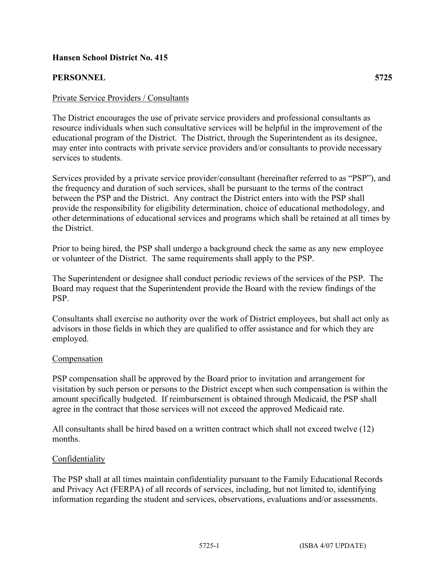# **Hansen School District No. 415**

# **PERSONNEL 5725**

## Private Service Providers / Consultants

The District encourages the use of private service providers and professional consultants as resource individuals when such consultative services will be helpful in the improvement of the educational program of the District. The District, through the Superintendent as its designee, may enter into contracts with private service providers and/or consultants to provide necessary services to students.

Services provided by a private service provider/consultant (hereinafter referred to as "PSP"), and the frequency and duration of such services, shall be pursuant to the terms of the contract between the PSP and the District. Any contract the District enters into with the PSP shall provide the responsibility for eligibility determination, choice of educational methodology, and other determinations of educational services and programs which shall be retained at all times by the District.

Prior to being hired, the PSP shall undergo a background check the same as any new employee or volunteer of the District. The same requirements shall apply to the PSP.

The Superintendent or designee shall conduct periodic reviews of the services of the PSP. The Board may request that the Superintendent provide the Board with the review findings of the PSP.

Consultants shall exercise no authority over the work of District employees, but shall act only as advisors in those fields in which they are qualified to offer assistance and for which they are employed.

#### Compensation

PSP compensation shall be approved by the Board prior to invitation and arrangement for visitation by such person or persons to the District except when such compensation is within the amount specifically budgeted. If reimbursement is obtained through Medicaid, the PSP shall agree in the contract that those services will not exceed the approved Medicaid rate.

All consultants shall be hired based on a written contract which shall not exceed twelve (12) months.

#### **Confidentiality**

The PSP shall at all times maintain confidentiality pursuant to the Family Educational Records and Privacy Act (FERPA) of all records of services, including, but not limited to, identifying information regarding the student and services, observations, evaluations and/or assessments.